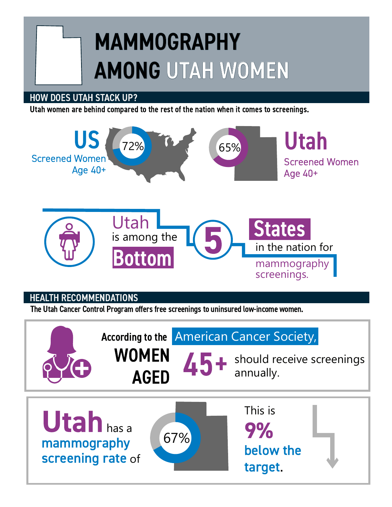# MAMMOGRAPHY AMONG UTAH WOMEN

### HOW DOES UTAH STACK UP?

Utah women are behind compared to the rest of the nation when it comes to screenings.



# HEALTH RECOMMENDATIONS

The Utah Cancer Control Program offers free screenings to uninsured low-income women.